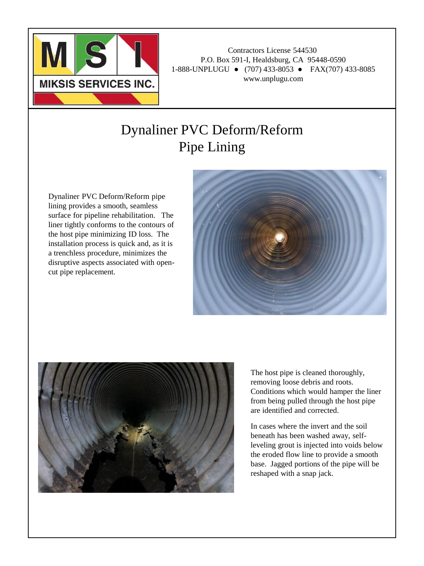

## Dynaliner PVC Deform/Reform Pipe Lining

Dynaliner PVC Deform/Reform pipe lining provides a smooth, seamless surface for pipeline rehabilitation. The liner tightly conforms to the contours of the host pipe minimizing ID loss. The installation process is quick and, as it is a trenchless procedure, minimizes the disruptive aspects associated with opencut pipe replacement.





The host pipe is cleaned thoroughly, removing loose debris and roots. Conditions which would hamper the liner from being pulled through the host pipe are identified and corrected.

In cases where the invert and the soil beneath has been washed away, selfleveling grout is injected into voids below the eroded flow line to provide a smooth base. Jagged portions of the pipe will be reshaped with a snap jack.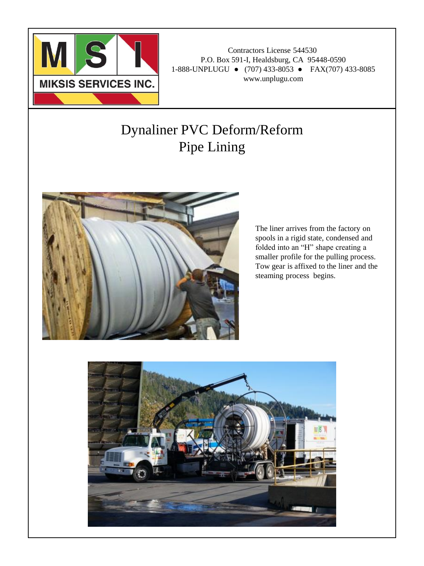

## Dynaliner PVC Deform/Reform Pipe Lining



The liner arrives from the factory on spools in a rigid state, condensed and folded into an "H" shape creating a smaller profile for the pulling process. Tow gear is affixed to the liner and the steaming process begins.

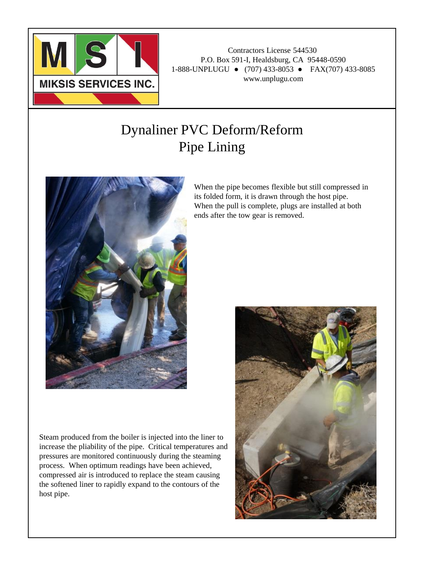

## Dynaliner PVC Deform/Reform Pipe Lining



Steam produced from the boiler is injected into the liner to increase the pliability of the pipe. Critical temperatures and pressures are monitored continuously during the steaming process. When optimum readings have been achieved, compressed air is introduced to replace the steam causing the softened liner to rapidly expand to the contours of the host pipe.

When the pipe becomes flexible but still compressed in its folded form, it is drawn through the host pipe. When the pull is complete, plugs are installed at both ends after the tow gear is removed.